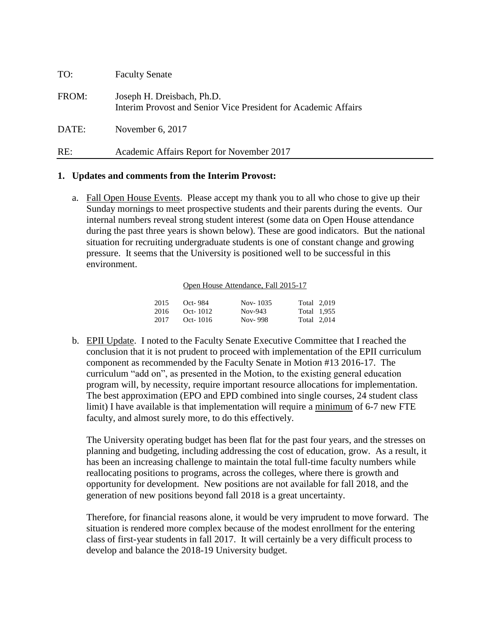| TO:   | <b>Faculty Senate</b>                                                                        |
|-------|----------------------------------------------------------------------------------------------|
| FROM: | Joseph H. Dreisbach, Ph.D.<br>Interim Provost and Senior Vice President for Academic Affairs |
| DATE: | November $6, 2017$                                                                           |
| RE:   | Academic Affairs Report for November 2017                                                    |

#### **1. Updates and comments from the Interim Provost:**

a. Fall Open House Events. Please accept my thank you to all who chose to give up their Sunday mornings to meet prospective students and their parents during the events. Our internal numbers reveal strong student interest (some data on Open House attendance during the past three years is shown below). These are good indicators. But the national situation for recruiting undergraduate students is one of constant change and growing pressure. It seems that the University is positioned well to be successful in this environment.

#### Open House Attendance, Fall 2015-17

| 2015 | Oct-984  | Nov-1035 | Total 2,019 |
|------|----------|----------|-------------|
| 2016 | Oct-1012 | Nov-943  | Total 1.955 |
| 2017 | Oct-1016 | Nov-998  | Total 2.014 |

b. EPII Update. I noted to the Faculty Senate Executive Committee that I reached the conclusion that it is not prudent to proceed with implementation of the EPII curriculum component as recommended by the Faculty Senate in Motion #13 2016-17. The curriculum "add on", as presented in the Motion, to the existing general education program will, by necessity, require important resource allocations for implementation. The best approximation (EPO and EPD combined into single courses, 24 student class limit) I have available is that implementation will require a minimum of 6-7 new FTE faculty, and almost surely more, to do this effectively.

The University operating budget has been flat for the past four years, and the stresses on planning and budgeting, including addressing the cost of education, grow. As a result, it has been an increasing challenge to maintain the total full-time faculty numbers while reallocating positions to programs, across the colleges, where there is growth and opportunity for development. New positions are not available for fall 2018, and the generation of new positions beyond fall 2018 is a great uncertainty.

Therefore, for financial reasons alone, it would be very imprudent to move forward. The situation is rendered more complex because of the modest enrollment for the entering class of first-year students in fall 2017. It will certainly be a very difficult process to develop and balance the 2018-19 University budget.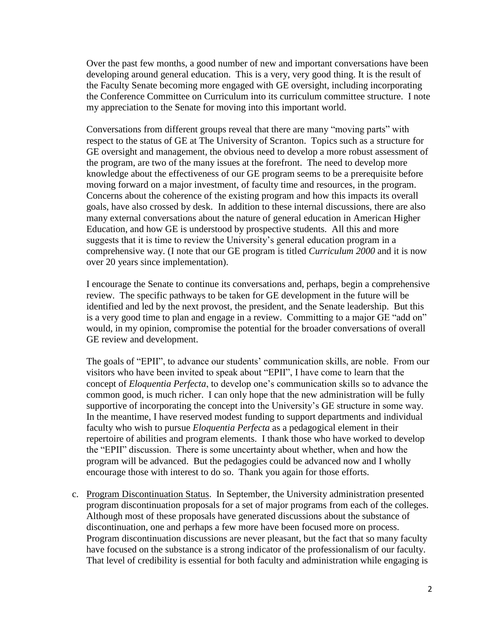Over the past few months, a good number of new and important conversations have been developing around general education. This is a very, very good thing. It is the result of the Faculty Senate becoming more engaged with GE oversight, including incorporating the Conference Committee on Curriculum into its curriculum committee structure. I note my appreciation to the Senate for moving into this important world.

Conversations from different groups reveal that there are many "moving parts" with respect to the status of GE at The University of Scranton. Topics such as a structure for GE oversight and management, the obvious need to develop a more robust assessment of the program, are two of the many issues at the forefront. The need to develop more knowledge about the effectiveness of our GE program seems to be a prerequisite before moving forward on a major investment, of faculty time and resources, in the program. Concerns about the coherence of the existing program and how this impacts its overall goals, have also crossed by desk. In addition to these internal discussions, there are also many external conversations about the nature of general education in American Higher Education, and how GE is understood by prospective students. All this and more suggests that it is time to review the University's general education program in a comprehensive way. (I note that our GE program is titled *Curriculum 2000* and it is now over 20 years since implementation).

I encourage the Senate to continue its conversations and, perhaps, begin a comprehensive review. The specific pathways to be taken for GE development in the future will be identified and led by the next provost, the president, and the Senate leadership. But this is a very good time to plan and engage in a review. Committing to a major GE "add on" would, in my opinion, compromise the potential for the broader conversations of overall GE review and development.

The goals of "EPII", to advance our students' communication skills, are noble. From our visitors who have been invited to speak about "EPII", I have come to learn that the concept of *Eloquentia Perfecta*, to develop one's communication skills so to advance the common good, is much richer. I can only hope that the new administration will be fully supportive of incorporating the concept into the University's GE structure in some way. In the meantime, I have reserved modest funding to support departments and individual faculty who wish to pursue *Eloquentia Perfecta* as a pedagogical element in their repertoire of abilities and program elements. I thank those who have worked to develop the "EPII" discussion. There is some uncertainty about whether, when and how the program will be advanced. But the pedagogies could be advanced now and I wholly encourage those with interest to do so. Thank you again for those efforts.

c. Program Discontinuation Status. In September, the University administration presented program discontinuation proposals for a set of major programs from each of the colleges. Although most of these proposals have generated discussions about the substance of discontinuation, one and perhaps a few more have been focused more on process. Program discontinuation discussions are never pleasant, but the fact that so many faculty have focused on the substance is a strong indicator of the professionalism of our faculty. That level of credibility is essential for both faculty and administration while engaging is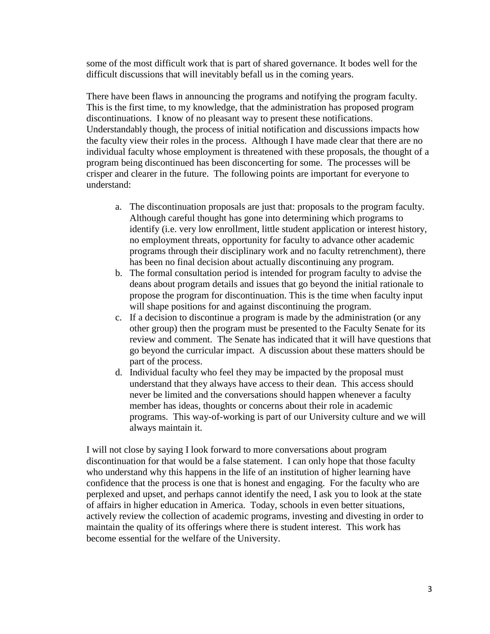some of the most difficult work that is part of shared governance. It bodes well for the difficult discussions that will inevitably befall us in the coming years.

There have been flaws in announcing the programs and notifying the program faculty. This is the first time, to my knowledge, that the administration has proposed program discontinuations. I know of no pleasant way to present these notifications. Understandably though, the process of initial notification and discussions impacts how the faculty view their roles in the process. Although I have made clear that there are no individual faculty whose employment is threatened with these proposals, the thought of a program being discontinued has been disconcerting for some. The processes will be crisper and clearer in the future. The following points are important for everyone to understand:

- a. The discontinuation proposals are just that: proposals to the program faculty. Although careful thought has gone into determining which programs to identify (i.e. very low enrollment, little student application or interest history, no employment threats, opportunity for faculty to advance other academic programs through their disciplinary work and no faculty retrenchment), there has been no final decision about actually discontinuing any program.
- b. The formal consultation period is intended for program faculty to advise the deans about program details and issues that go beyond the initial rationale to propose the program for discontinuation. This is the time when faculty input will shape positions for and against discontinuing the program.
- c. If a decision to discontinue a program is made by the administration (or any other group) then the program must be presented to the Faculty Senate for its review and comment. The Senate has indicated that it will have questions that go beyond the curricular impact. A discussion about these matters should be part of the process.
- d. Individual faculty who feel they may be impacted by the proposal must understand that they always have access to their dean. This access should never be limited and the conversations should happen whenever a faculty member has ideas, thoughts or concerns about their role in academic programs. This way-of-working is part of our University culture and we will always maintain it.

I will not close by saying I look forward to more conversations about program discontinuation for that would be a false statement. I can only hope that those faculty who understand why this happens in the life of an institution of higher learning have confidence that the process is one that is honest and engaging. For the faculty who are perplexed and upset, and perhaps cannot identify the need, I ask you to look at the state of affairs in higher education in America. Today, schools in even better situations, actively review the collection of academic programs, investing and divesting in order to maintain the quality of its offerings where there is student interest. This work has become essential for the welfare of the University.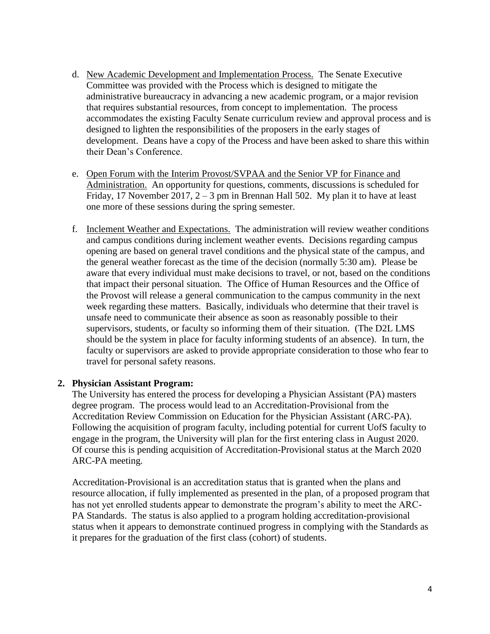- d. New Academic Development and Implementation Process. The Senate Executive Committee was provided with the Process which is designed to mitigate the administrative bureaucracy in advancing a new academic program, or a major revision that requires substantial resources, from concept to implementation. The process accommodates the existing Faculty Senate curriculum review and approval process and is designed to lighten the responsibilities of the proposers in the early stages of development. Deans have a copy of the Process and have been asked to share this within their Dean's Conference.
- e. Open Forum with the Interim Provost/SVPAA and the Senior VP for Finance and Administration. An opportunity for questions, comments, discussions is scheduled for Friday, 17 November 2017,  $2 - 3$  pm in Brennan Hall 502. My plan it to have at least one more of these sessions during the spring semester.
- f. Inclement Weather and Expectations. The administration will review weather conditions and campus conditions during inclement weather events. Decisions regarding campus opening are based on general travel conditions and the physical state of the campus, and the general weather forecast as the time of the decision (normally 5:30 am). Please be aware that every individual must make decisions to travel, or not, based on the conditions that impact their personal situation. The Office of Human Resources and the Office of the Provost will release a general communication to the campus community in the next week regarding these matters. Basically, individuals who determine that their travel is unsafe need to communicate their absence as soon as reasonably possible to their supervisors, students, or faculty so informing them of their situation. (The D2L LMS should be the system in place for faculty informing students of an absence). In turn, the faculty or supervisors are asked to provide appropriate consideration to those who fear to travel for personal safety reasons.

### **2. Physician Assistant Program:**

The University has entered the process for developing a Physician Assistant (PA) masters degree program. The process would lead to an Accreditation-Provisional from the Accreditation Review Commission on Education for the Physician Assistant (ARC-PA). Following the acquisition of program faculty, including potential for current UofS faculty to engage in the program, the University will plan for the first entering class in August 2020. Of course this is pending acquisition of Accreditation-Provisional status at the March 2020 ARC-PA meeting.

Accreditation-Provisional is an accreditation status that is granted when the plans and resource allocation, if fully implemented as presented in the plan, of a proposed program that has not yet enrolled students appear to demonstrate the program's ability to meet the ARC-PA Standards. The status is also applied to a program holding accreditation-provisional status when it appears to demonstrate continued progress in complying with the Standards as it prepares for the graduation of the first class (cohort) of students.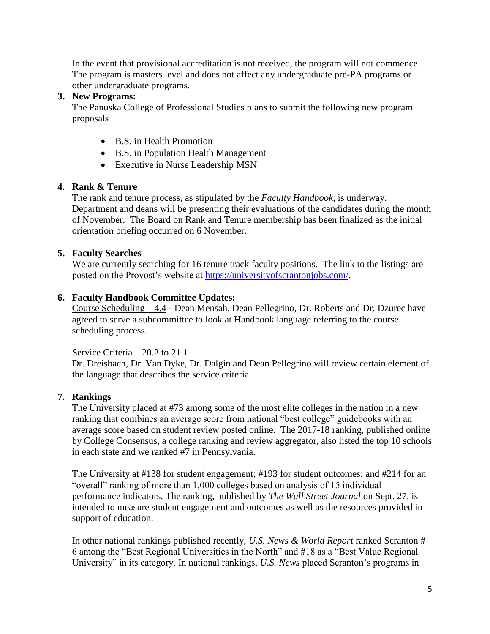In the event that provisional accreditation is not received, the program will not commence. The program is masters level and does not affect any undergraduate pre-PA programs or other undergraduate programs.

### **3. New Programs:**

The Panuska College of Professional Studies plans to submit the following new program proposals

- B.S. in Health Promotion
- B.S. in Population Health Management
- Executive in Nurse Leadership MSN

# **4. Rank & Tenure**

The rank and tenure process, as stipulated by the *Faculty Handbook*, is underway. Department and deans will be presenting their evaluations of the candidates during the month of November. The Board on Rank and Tenure membership has been finalized as the initial orientation briefing occurred on 6 November.

# **5. Faculty Searches**

We are currently searching for 16 tenure track faculty positions. The link to the listings are posted on the Provost's website at [https://universityofscrantonjobs.com/.](https://universityofscrantonjobs.com/)

# **6. Faculty Handbook Committee Updates:**

Course Scheduling – 4.4 - Dean Mensah, Dean Pellegrino, Dr. Roberts and Dr. Dzurec have agreed to serve a subcommittee to look at Handbook language referring to the course scheduling process.

# Service Criteria – 20.2 to 21.1

Dr. Dreisbach, Dr. Van Dyke, Dr. Dalgin and Dean Pellegrino will review certain element of the language that describes the service criteria.

# **7. Rankings**

The University placed at #73 among some of the most elite colleges in the nation in a new ranking that combines an average score from national "best college" guidebooks with an average score based on student review posted online. The 2017-18 ranking, published online by College Consensus, a college ranking and review aggregator, also listed the top 10 schools in each state and we ranked #7 in Pennsylvania.

The University at #138 for student engagement; #193 for student outcomes; and #214 for an "overall" ranking of more than 1,000 colleges based on analysis of 15 individual performance indicators. The ranking, published by *The Wall Street Journal* on Sept. 27, is intended to measure student engagement and outcomes as well as the resources provided in support of education.

In other national rankings published recently, *U.S. News & World Report* ranked Scranton # 6 among the "Best Regional Universities in the North" and #18 as a "Best Value Regional University" in its category. In national rankings, *U.S. News* placed Scranton's programs in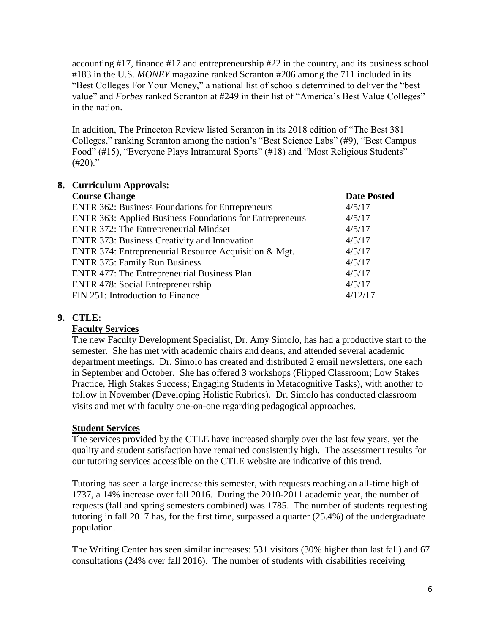accounting #17, finance #17 and entrepreneurship #22 in the country, and its business school #183 in the U.S. *MONEY* magazine ranked Scranton #206 among the 711 included in its "Best Colleges For Your Money," a national list of schools determined to deliver the "best value" and *Forbes* ranked Scranton at #249 in their list of "America's Best Value Colleges" in the nation.

In addition, The Princeton Review listed Scranton in its 2018 edition of "The Best 381 Colleges," ranking Scranton among the nation's "Best Science Labs" (#9), "Best Campus Food" (#15), "Everyone Plays Intramural Sports" (#18) and "Most Religious Students"  $(+20)$ ."

| 8. Curriculum Approvals:                                        |                    |
|-----------------------------------------------------------------|--------------------|
| <b>Course Change</b>                                            | <b>Date Posted</b> |
| <b>ENTR 362: Business Foundations for Entrepreneurs</b>         | 4/5/17             |
| <b>ENTR 363: Applied Business Foundations for Entrepreneurs</b> | 4/5/17             |
| ENTR 372: The Entrepreneurial Mindset                           | 4/5/17             |
| <b>ENTR 373: Business Creativity and Innovation</b>             | 4/5/17             |
| ENTR 374: Entrepreneurial Resource Acquisition & Mgt.           | 4/5/17             |
| <b>ENTR 375: Family Run Business</b>                            | 4/5/17             |
| ENTR 477: The Entrepreneurial Business Plan                     | 4/5/17             |
| <b>ENTR</b> 478: Social Entrepreneurship                        | 4/5/17             |
| FIN 251: Introduction to Finance                                | 4/12/17            |

# **9. CTLE:**

### **Faculty Services**

The new Faculty Development Specialist, Dr. Amy Simolo, has had a productive start to the semester. She has met with academic chairs and deans, and attended several academic department meetings. Dr. Simolo has created and distributed 2 email newsletters, one each in September and October. She has offered 3 workshops (Flipped Classroom; Low Stakes Practice, High Stakes Success; Engaging Students in Metacognitive Tasks), with another to follow in November (Developing Holistic Rubrics). Dr. Simolo has conducted classroom visits and met with faculty one-on-one regarding pedagogical approaches.

### **Student Services**

The services provided by the CTLE have increased sharply over the last few years, yet the quality and student satisfaction have remained consistently high. The assessment results for our tutoring services accessible on the CTLE website are indicative of this trend.

Tutoring has seen a large increase this semester, with requests reaching an all-time high of 1737, a 14% increase over fall 2016. During the 2010-2011 academic year, the number of requests (fall and spring semesters combined) was 1785. The number of students requesting tutoring in fall 2017 has, for the first time, surpassed a quarter (25.4%) of the undergraduate population.

The Writing Center has seen similar increases: 531 visitors (30% higher than last fall) and 67 consultations (24% over fall 2016). The number of students with disabilities receiving